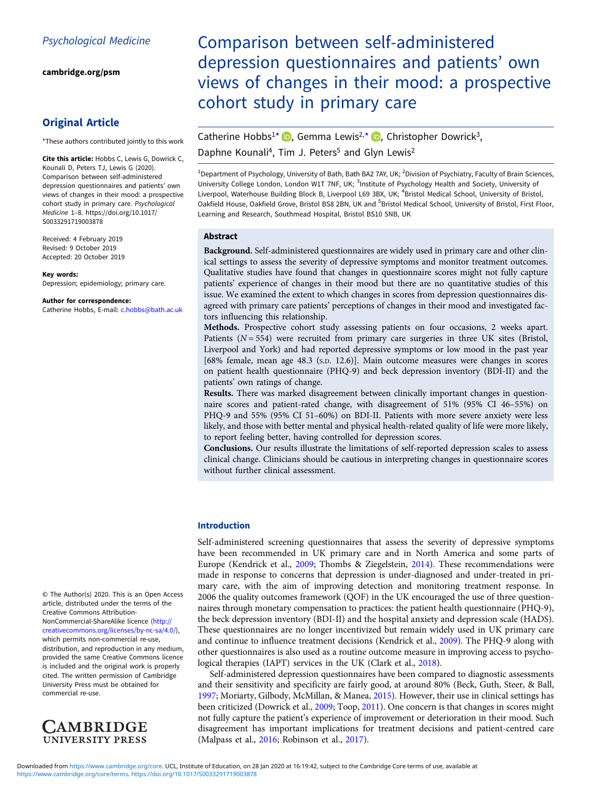[cambridge.org/psm](https://www.cambridge.org/psm)

# Original Article

\*These authors contributed jointly to this work

Cite this article: Hobbs C, Lewis G, Dowrick C, Kounali D, Peters TJ, Lewis G (2020). Comparison between self-administered depression questionnaires and patients' own views of changes in their mood: a prospective cohort study in primary care. Psychological Medicine 1–8. [https://doi.org/10.1017/](https://doi.org/10.1017/S0033291719003878) [S0033291719003878](https://doi.org/10.1017/S0033291719003878)

Received: 4 February 2019 Revised: 9 October 2019 Accepted: 20 October 2019

#### Key words:

Depression; epidemiology; primary care.

#### Author for correspondence:

Catherine Hobbs, E-mail: [c.hobbs@bath.ac.uk](mailto:c.hobbs@bath.ac.uk)

© The Author(s) 2020. This is an Open Access article, distributed under the terms of the Creative Commons Attribution-NonCommercial-ShareAlike licence [\(http://](http://creativecommons.org/licenses/by-nc-sa/4.0/) [creativecommons.org/licenses/by-nc-sa/4.0/](http://creativecommons.org/licenses/by-nc-sa/4.0/)), which permits non-commercial re-use, distribution, and reproduction in any medium, provided the same Creative Commons licence is included and the original work is properly cited. The written permission of Cambridge University Press must be obtained for commercial re-use.



# Comparison between self-administered depression questionnaires and patients' own views of changes in their mood: a prospective cohort study in primary care

Catherine Hobbs<sup>1\*</sup> **D**[,](https://orcid.org/0000-0001-6666-3681) Gemma Lewis<sup>2,\*</sup> **D**, Christopher Dowrick<sup>3</sup>, Daphne Kounali<sup>4</sup>, Tim J. Peters<sup>5</sup> and Glyn Lewis<sup>2</sup>

<sup>1</sup>Department of Psychology, University of Bath, Bath BA2 7AY, UK; <sup>2</sup>Division of Psychiatry, Faculty of Brain Sciences, University College London, London W1T 7NF, UK; <sup>3</sup>Institute of Psychology Health and Society, University of Liverpool, Waterhouse Building Block B, Liverpool L69 3BX, UK; <sup>4</sup>Bristol Medical School, University of Bristol, Oakfield House, Oakfield Grove, Bristol BS8 2BN, UK and <sup>5</sup>Bristol Medical School, University of Bristol, First Floor, Learning and Research, Southmead Hospital, Bristol BS10 5NB, UK

# Abstract

Background. Self-administered questionnaires are widely used in primary care and other clinical settings to assess the severity of depressive symptoms and monitor treatment outcomes. Qualitative studies have found that changes in questionnaire scores might not fully capture patients' experience of changes in their mood but there are no quantitative studies of this issue. We examined the extent to which changes in scores from depression questionnaires disagreed with primary care patients' perceptions of changes in their mood and investigated factors influencing this relationship.

Methods. Prospective cohort study assessing patients on four occasions, 2 weeks apart. Patients  $(N = 554)$  were recruited from primary care surgeries in three UK sites (Bristol, Liverpool and York) and had reported depressive symptoms or low mood in the past year [68% female, mean age 48.3 (S.D. 12.6)]. Main outcome measures were changes in scores on patient health questionnaire (PHQ-9) and beck depression inventory (BDI-II) and the patients' own ratings of change.

Results. There was marked disagreement between clinically important changes in questionnaire scores and patient-rated change, with disagreement of 51% (95% CI 46–55%) on PHQ-9 and 55% (95% CI 51–60%) on BDI-II. Patients with more severe anxiety were less likely, and those with better mental and physical health-related quality of life were more likely, to report feeling better, having controlled for depression scores.

Conclusions. Our results illustrate the limitations of self-reported depression scales to assess clinical change. Clinicians should be cautious in interpreting changes in questionnaire scores without further clinical assessment.

# Introduction

Self-administered screening questionnaires that assess the severity of depressive symptoms have been recommended in UK primary care and in North America and some parts of Europe (Kendrick et al., [2009;](#page-7-0) Thombs & Ziegelstein, [2014\)](#page-7-0). These recommendations were made in response to concerns that depression is under-diagnosed and under-treated in primary care, with the aim of improving detection and monitoring treatment response. In 2006 the quality outcomes framework (QOF) in the UK encouraged the use of three questionnaires through monetary compensation to practices: the patient health questionnaire (PHQ-9), the beck depression inventory (BDI-II) and the hospital anxiety and depression scale (HADS). These questionnaires are no longer incentivized but remain widely used in UK primary care and continue to influence treatment decisions (Kendrick et al., [2009\)](#page-7-0). The PHQ-9 along with other questionnaires is also used as a routine outcome measure in improving access to psychological therapies (IAPT) services in the UK (Clark et al., [2018\)](#page-7-0).

Self-administered depression questionnaires have been compared to diagnostic assessments and their sensitivity and specificity are fairly good, at around 80% (Beck, Guth, Steer, & Ball, [1997;](#page-7-0) Moriarty, Gilbody, McMillan, & Manea, [2015\)](#page-7-0). However, their use in clinical settings has been criticized (Dowrick et al., [2009;](#page-7-0) Toop, [2011](#page-7-0)). One concern is that changes in scores might not fully capture the patient's experience of improvement or deterioration in their mood. Such disagreement has important implications for treatment decisions and patient-centred care (Malpass et al., [2016](#page-7-0); Robinson et al., [2017\)](#page-7-0).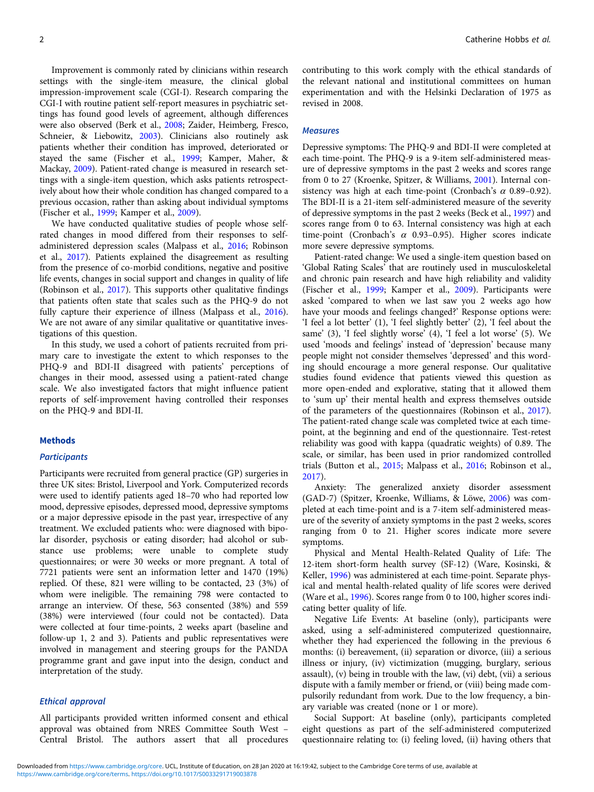Improvement is commonly rated by clinicians within research settings with the single-item measure, the clinical global impression-improvement scale (CGI-I). Research comparing the CGI-I with routine patient self-report measures in psychiatric settings has found good levels of agreement, although differences were also observed (Berk et al., [2008](#page-7-0); Zaider, Heimberg, Fresco, Schneier, & Liebowitz, [2003](#page-7-0)). Clinicians also routinely ask patients whether their condition has improved, deteriorated or stayed the same (Fischer et al., [1999](#page-7-0); Kamper, Maher, & Mackay, [2009](#page-7-0)). Patient-rated change is measured in research settings with a single-item question, which asks patients retrospectively about how their whole condition has changed compared to a previous occasion, rather than asking about individual symptoms (Fischer et al., [1999](#page-7-0); Kamper et al., [2009](#page-7-0)).

We have conducted qualitative studies of people whose selfrated changes in mood differed from their responses to selfadministered depression scales (Malpass et al., [2016;](#page-7-0) Robinson et al., [2017](#page-7-0)). Patients explained the disagreement as resulting from the presence of co-morbid conditions, negative and positive life events, changes in social support and changes in quality of life (Robinson et al., [2017\)](#page-7-0). This supports other qualitative findings that patients often state that scales such as the PHQ-9 do not fully capture their experience of illness (Malpass et al., [2016\)](#page-7-0). We are not aware of any similar qualitative or quantitative investigations of this question.

In this study, we used a cohort of patients recruited from primary care to investigate the extent to which responses to the PHQ-9 and BDI-II disagreed with patients' perceptions of changes in their mood, assessed using a patient-rated change scale. We also investigated factors that might influence patient reports of self-improvement having controlled their responses on the PHQ-9 and BDI-II.

#### **Methods**

#### **Participants**

Participants were recruited from general practice (GP) surgeries in three UK sites: Bristol, Liverpool and York. Computerized records were used to identify patients aged 18–70 who had reported low mood, depressive episodes, depressed mood, depressive symptoms or a major depressive episode in the past year, irrespective of any treatment. We excluded patients who: were diagnosed with bipolar disorder, psychosis or eating disorder; had alcohol or substance use problems; were unable to complete study questionnaires; or were 30 weeks or more pregnant. A total of 7721 patients were sent an information letter and 1470 (19%) replied. Of these, 821 were willing to be contacted, 23 (3%) of whom were ineligible. The remaining 798 were contacted to arrange an interview. Of these, 563 consented (38%) and 559 (38%) were interviewed (four could not be contacted). Data were collected at four time-points, 2 weeks apart (baseline and follow-up 1, 2 and 3). Patients and public representatives were involved in management and steering groups for the PANDA programme grant and gave input into the design, conduct and interpretation of the study.

# Ethical approval

All participants provided written informed consent and ethical approval was obtained from NRES Committee South West – Central Bristol. The authors assert that all procedures contributing to this work comply with the ethical standards of the relevant national and institutional committees on human experimentation and with the Helsinki Declaration of 1975 as revised in 2008.

#### **Measures**

Depressive symptoms: The PHQ-9 and BDI-II were completed at each time-point. The PHQ-9 is a 9-item self-administered measure of depressive symptoms in the past 2 weeks and scores range from 0 to 27 (Kroenke, Spitzer, & Williams, [2001\)](#page-7-0). Internal consistency was high at each time-point (Cronbach's  $\alpha$  0.89-0.92). The BDI-II is a 21-item self-administered measure of the severity of depressive symptoms in the past 2 weeks (Beck et al., [1997\)](#page-7-0) and scores range from 0 to 63. Internal consistency was high at each time-point (Cronbach's  $\alpha$  0.93-0.95). Higher scores indicate more severe depressive symptoms.

Patient-rated change: We used a single-item question based on 'Global Rating Scales' that are routinely used in musculoskeletal and chronic pain research and have high reliability and validity (Fischer et al., [1999](#page-7-0); Kamper et al., [2009](#page-7-0)). Participants were asked 'compared to when we last saw you 2 weeks ago how have your moods and feelings changed?' Response options were: 'I feel a lot better' (1), 'I feel slightly better' (2), 'I feel about the same' (3), 'I feel slightly worse' (4), 'I feel a lot worse' (5). We used 'moods and feelings' instead of 'depression' because many people might not consider themselves 'depressed' and this wording should encourage a more general response. Our qualitative studies found evidence that patients viewed this question as more open-ended and explorative, stating that it allowed them to 'sum up' their mental health and express themselves outside of the parameters of the questionnaires (Robinson et al., [2017](#page-7-0)). The patient-rated change scale was completed twice at each timepoint, at the beginning and end of the questionnaire. Test-retest reliability was good with kappa (quadratic weights) of 0.89. The scale, or similar, has been used in prior randomized controlled trials (Button et al., [2015](#page-7-0); Malpass et al., [2016;](#page-7-0) Robinson et al., [2017\)](#page-7-0).

Anxiety: The generalized anxiety disorder assessment (GAD-7) (Spitzer, Kroenke, Williams, & Löwe, [2006\)](#page-7-0) was completed at each time-point and is a 7-item self-administered measure of the severity of anxiety symptoms in the past 2 weeks, scores ranging from 0 to 21. Higher scores indicate more severe symptoms.

Physical and Mental Health-Related Quality of Life: The 12-item short-form health survey (SF-12) (Ware, Kosinski, & Keller, [1996\)](#page-7-0) was administered at each time-point. Separate physical and mental health-related quality of life scores were derived (Ware et al., [1996\)](#page-7-0). Scores range from 0 to 100, higher scores indicating better quality of life.

Negative Life Events: At baseline (only), participants were asked, using a self-administered computerized questionnaire, whether they had experienced the following in the previous 6 months: (i) bereavement, (ii) separation or divorce, (iii) a serious illness or injury, (iv) victimization (mugging, burglary, serious assault), (v) being in trouble with the law, (vi) debt, (vii) a serious dispute with a family member or friend, or (viii) being made compulsorily redundant from work. Due to the low frequency, a binary variable was created (none or 1 or more).

Social Support: At baseline (only), participants completed eight questions as part of the self-administered computerized questionnaire relating to: (i) feeling loved, (ii) having others that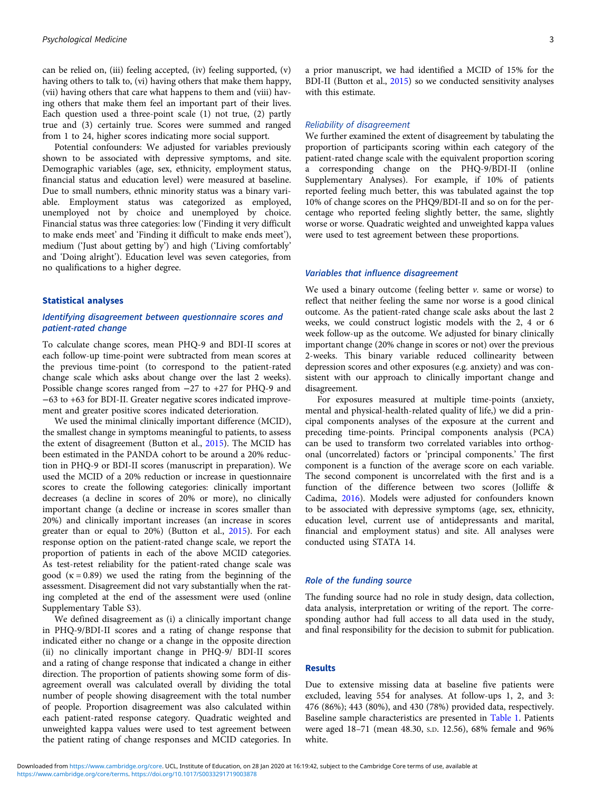can be relied on, (iii) feeling accepted, (iv) feeling supported, (v) having others to talk to, (vi) having others that make them happy, (vii) having others that care what happens to them and (viii) having others that make them feel an important part of their lives. Each question used a three-point scale (1) not true, (2) partly true and (3) certainly true. Scores were summed and ranged from 1 to 24, higher scores indicating more social support.

Potential confounders: We adjusted for variables previously shown to be associated with depressive symptoms, and site. Demographic variables (age, sex, ethnicity, employment status, financial status and education level) were measured at baseline. Due to small numbers, ethnic minority status was a binary variable. Employment status was categorized as employed, unemployed not by choice and unemployed by choice. Financial status was three categories: low ('Finding it very difficult to make ends meet' and 'Finding it difficult to make ends meet'), medium ('Just about getting by') and high ('Living comfortably' and 'Doing alright'). Education level was seven categories, from no qualifications to a higher degree.

#### Statistical analyses

# Identifying disagreement between questionnaire scores and patient-rated change

To calculate change scores, mean PHQ-9 and BDI-II scores at each follow-up time-point were subtracted from mean scores at the previous time-point (to correspond to the patient-rated change scale which asks about change over the last 2 weeks). Possible change scores ranged from −27 to +27 for PHQ-9 and −63 to +63 for BDI-II. Greater negative scores indicated improvement and greater positive scores indicated deterioration.

We used the minimal clinically important difference (MCID), the smallest change in symptoms meaningful to patients, to assess the extent of disagreement (Button et al., [2015](#page-7-0)). The MCID has been estimated in the PANDA cohort to be around a 20% reduction in PHQ-9 or BDI-II scores (manuscript in preparation). We used the MCID of a 20% reduction or increase in questionnaire scores to create the following categories: clinically important decreases (a decline in scores of 20% or more), no clinically important change (a decline or increase in scores smaller than 20%) and clinically important increases (an increase in scores greater than or equal to 20%) (Button et al., [2015\)](#page-7-0). For each response option on the patient-rated change scale, we report the proportion of patients in each of the above MCID categories. As test-retest reliability for the patient-rated change scale was good  $(\kappa = 0.89)$  we used the rating from the beginning of the assessment. Disagreement did not vary substantially when the rating completed at the end of the assessment were used (online Supplementary Table S3).

We defined disagreement as (i) a clinically important change in PHQ-9/BDI-II scores and a rating of change response that indicated either no change or a change in the opposite direction (ii) no clinically important change in PHQ-9/ BDI-II scores and a rating of change response that indicated a change in either direction. The proportion of patients showing some form of disagreement overall was calculated overall by dividing the total number of people showing disagreement with the total number of people. Proportion disagreement was also calculated within each patient-rated response category. Quadratic weighted and unweighted kappa values were used to test agreement between the patient rating of change responses and MCID categories. In

a prior manuscript, we had identified a MCID of 15% for the BDI-II (Button et al., [2015\)](#page-7-0) so we conducted sensitivity analyses with this estimate.

### Reliability of disagreement

We further examined the extent of disagreement by tabulating the proportion of participants scoring within each category of the patient-rated change scale with the equivalent proportion scoring a corresponding change on the PHQ-9/BDI-II (online Supplementary Analyses). For example, if 10% of patients reported feeling much better, this was tabulated against the top 10% of change scores on the PHQ9/BDI-II and so on for the percentage who reported feeling slightly better, the same, slightly worse or worse. Quadratic weighted and unweighted kappa values were used to test agreement between these proportions.

# Variables that influence disagreement

We used a binary outcome (feeling better  $\nu$ , same or worse) to reflect that neither feeling the same nor worse is a good clinical outcome. As the patient-rated change scale asks about the last 2 weeks, we could construct logistic models with the 2, 4 or 6 week follow-up as the outcome. We adjusted for binary clinically important change (20% change in scores or not) over the previous 2-weeks. This binary variable reduced collinearity between depression scores and other exposures (e.g. anxiety) and was consistent with our approach to clinically important change and disagreement.

For exposures measured at multiple time-points (anxiety, mental and physical-health-related quality of life,) we did a principal components analyses of the exposure at the current and preceding time-points. Principal components analysis (PCA) can be used to transform two correlated variables into orthogonal (uncorrelated) factors or 'principal components.' The first component is a function of the average score on each variable. The second component is uncorrelated with the first and is a function of the difference between two scores (Jolliffe & Cadima, [2016\)](#page-7-0). Models were adjusted for confounders known to be associated with depressive symptoms (age, sex, ethnicity, education level, current use of antidepressants and marital, financial and employment status) and site. All analyses were conducted using STATA 14.

#### Role of the funding source

The funding source had no role in study design, data collection, data analysis, interpretation or writing of the report. The corresponding author had full access to all data used in the study, and final responsibility for the decision to submit for publication.

# Results

Due to extensive missing data at baseline five patients were excluded, leaving 554 for analyses. At follow-ups 1, 2, and 3: 476 (86%); 443 (80%), and 430 (78%) provided data, respectively. Baseline sample characteristics are presented in [Table 1](#page-3-0). Patients were aged 18–71 (mean 48.30, S.D. 12.56), 68% female and 96% white.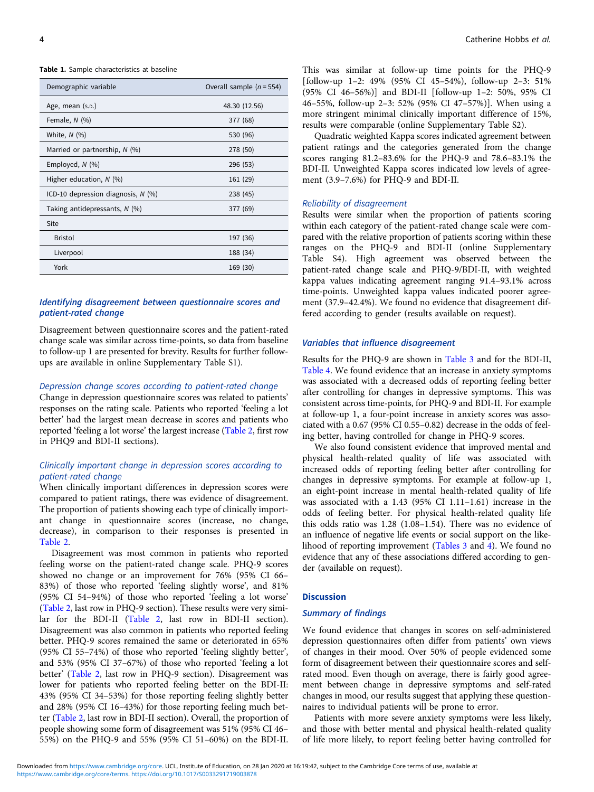<span id="page-3-0"></span>Table 1. Sample characteristics at baseline

| Demographic variable               | Overall sample $(n = 554)$ |
|------------------------------------|----------------------------|
| Age, mean (s.p.)                   | 48.30 (12.56)              |
| Female, $N$ (%)                    | 377 (68)                   |
| White, $N$ (%)                     | 530 (96)                   |
| Married or partnership, $N$ (%)    | 278 (50)                   |
| Employed, N (%)                    | 296 (53)                   |
| Higher education, $N$ (%)          | 161 (29)                   |
| ICD-10 depression diagnosis, N (%) | 238 (45)                   |
| Taking antidepressants, $N$ (%)    | 377 (69)                   |
| Site                               |                            |
| <b>Bristol</b>                     | 197 (36)                   |
| Liverpool                          | 188 (34)                   |
| York                               | 169 (30)                   |

# Identifying disagreement between questionnaire scores and patient-rated change

Disagreement between questionnaire scores and the patient-rated change scale was similar across time-points, so data from baseline to follow-up 1 are presented for brevity. Results for further followups are available in online Supplementary Table S1).

# Depression change scores according to patient-rated change

Change in depression questionnaire scores was related to patients' responses on the rating scale. Patients who reported 'feeling a lot better' had the largest mean decrease in scores and patients who reported 'feeling a lot worse' the largest increase ([Table 2](#page-4-0), first row in PHQ9 and BDI-II sections).

# Clinically important change in depression scores according to patient-rated change

When clinically important differences in depression scores were compared to patient ratings, there was evidence of disagreement. The proportion of patients showing each type of clinically important change in questionnaire scores (increase, no change, decrease), in comparison to their responses is presented in [Table 2](#page-4-0).

Disagreement was most common in patients who reported feeling worse on the patient-rated change scale. PHQ-9 scores showed no change or an improvement for 76% (95% CI 66– 83%) of those who reported 'feeling slightly worse', and 81% (95% CI 54–94%) of those who reported 'feeling a lot worse' ([Table 2,](#page-4-0) last row in PHQ-9 section). These results were very similar for the BDI-II ([Table 2,](#page-4-0) last row in BDI-II section). Disagreement was also common in patients who reported feeling better. PHQ-9 scores remained the same or deteriorated in 65% (95% CI 55–74%) of those who reported 'feeling slightly better', and 53% (95% CI 37–67%) of those who reported 'feeling a lot better' ([Table 2](#page-4-0), last row in PHQ-9 section). Disagreement was lower for patients who reported feeling better on the BDI-II: 43% (95% CI 34–53%) for those reporting feeling slightly better and 28% (95% CI 16–43%) for those reporting feeling much better ([Table 2](#page-4-0), last row in BDI-II section). Overall, the proportion of people showing some form of disagreement was 51% (95% CI 46– 55%) on the PHQ-9 and 55% (95% CI 51–60%) on the BDI-II.

This was similar at follow-up time points for the PHQ-9 [follow-up 1–2: 49% (95% CI 45–54%), follow-up 2–3: 51% (95% CI 46–56%)] and BDI-II [follow-up 1–2: 50%, 95% CI 46–55%, follow-up 2–3: 52% (95% CI 47–57%)]. When using a more stringent minimal clinically important difference of 15%, results were comparable (online Supplementary Table S2).

Quadratic weighted Kappa scores indicated agreement between patient ratings and the categories generated from the change scores ranging 81.2–83.6% for the PHQ-9 and 78.6–83.1% the BDI-II. Unweighted Kappa scores indicated low levels of agreement (3.9–7.6%) for PHQ-9 and BDI-II.

# Reliability of disagreement

Results were similar when the proportion of patients scoring within each category of the patient-rated change scale were compared with the relative proportion of patients scoring within these ranges on the PHQ-9 and BDI-II (online Supplementary Table S4). High agreement was observed between the patient-rated change scale and PHQ-9/BDI-II, with weighted kappa values indicating agreement ranging 91.4–93.1% across time-points. Unweighted kappa values indicated poorer agreement (37.9–42.4%). We found no evidence that disagreement differed according to gender (results available on request).

#### Variables that influence disagreement

Results for the PHQ-9 are shown in [Table 3](#page-5-0) and for the BDI-II, [Table 4](#page-6-0). We found evidence that an increase in anxiety symptoms was associated with a decreased odds of reporting feeling better after controlling for changes in depressive symptoms. This was consistent across time-points, for PHQ-9 and BDI-II. For example at follow-up 1, a four-point increase in anxiety scores was associated with a 0.67 (95% CI 0.55–0.82) decrease in the odds of feeling better, having controlled for change in PHQ-9 scores.

We also found consistent evidence that improved mental and physical health-related quality of life was associated with increased odds of reporting feeling better after controlling for changes in depressive symptoms. For example at follow-up 1, an eight-point increase in mental health-related quality of life was associated with a 1.43 (95% CI 1.11–1.61) increase in the odds of feeling better. For physical health-related quality life this odds ratio was 1.28 (1.08–1.54). There was no evidence of an influence of negative life events or social support on the likelihood of reporting improvement ([Tables 3](#page-5-0) and [4](#page-6-0)). We found no evidence that any of these associations differed according to gender (available on request).

# **Discussion**

# Summary of findings

We found evidence that changes in scores on self-administered depression questionnaires often differ from patients' own views of changes in their mood. Over 50% of people evidenced some form of disagreement between their questionnaire scores and selfrated mood. Even though on average, there is fairly good agreement between change in depressive symptoms and self-rated changes in mood, our results suggest that applying these questionnaires to individual patients will be prone to error.

Patients with more severe anxiety symptoms were less likely, and those with better mental and physical health-related quality of life more likely, to report feeling better having controlled for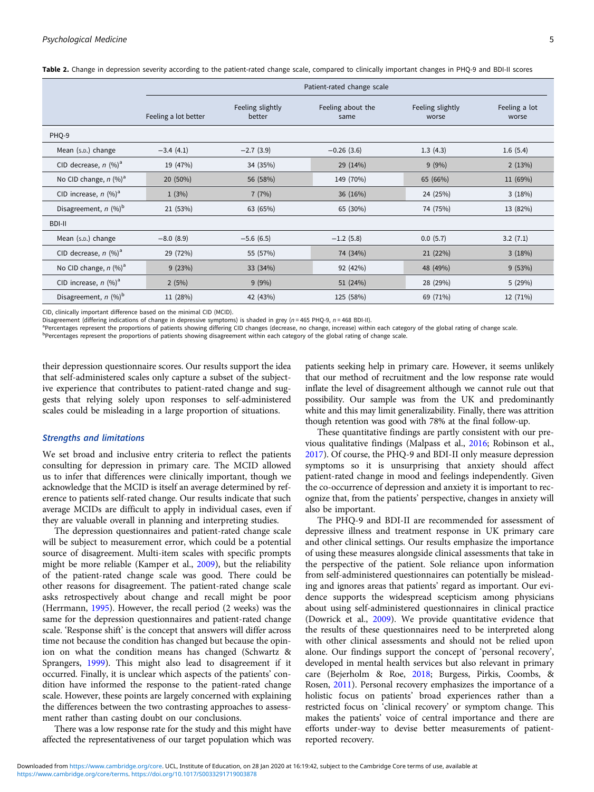|                                     | Patient-rated change scale |                            |                           |                           |                        |
|-------------------------------------|----------------------------|----------------------------|---------------------------|---------------------------|------------------------|
|                                     | Feeling a lot better       | Feeling slightly<br>better | Feeling about the<br>same | Feeling slightly<br>worse | Feeling a lot<br>worse |
| PHO-9                               |                            |                            |                           |                           |                        |
| Mean (s.p.) change                  | $-3.4(4.1)$                | $-2.7(3.9)$                | $-0.26(3.6)$              | 1.3(4.3)                  | 1.6(5.4)               |
| CID decrease, $n$ (%) <sup>a</sup>  | 19 (47%)                   | 34 (35%)                   | 29 (14%)                  | 9(9%)                     | 2(13%)                 |
| No CID change, $n$ (%) <sup>a</sup> | 20 (50%)                   | 56 (58%)                   | 149 (70%)                 | 65 (66%)                  | 11 (69%)               |
| CID increase, $n$ (%) <sup>a</sup>  | 1(3%)                      | 7(7%)                      | 36(16%)                   | 24 (25%)                  | 3(18%)                 |
| Disagreement, $n$ (%) <sup>b</sup>  | 21 (53%)                   | 63 (65%)                   | 65 (30%)                  | 74 (75%)                  | 13 (82%)               |
| <b>BDI-II</b>                       |                            |                            |                           |                           |                        |
| Mean (s.p.) change                  | $-8.0(8.9)$                | $-5.6(6.5)$                | $-1.2$ (5.8)              | 0.0(5.7)                  | 3.2(7.1)               |
| CID decrease, $n$ (%) <sup>a</sup>  | 29 (72%)                   | 55 (57%)                   | 74 (34%)                  | 21 (22%)                  | 3(18%)                 |
| No CID change, $n$ (%) <sup>a</sup> | 9(23%)                     | 33 (34%)                   | 92 (42%)                  | 48 (49%)                  | 9(53%)                 |
| CID increase, $n$ (%) <sup>a</sup>  | 2(5%)                      | 9(9%)                      | 51 (24%)                  | 28 (29%)                  | 5(29%)                 |
| Disagreement, $n$ (%) <sup>b</sup>  | 11 (28%)                   | 42 (43%)                   | 125 (58%)                 | 69 (71%)                  | 12 (71%)               |

<span id="page-4-0"></span>Table 2. Change in depression severity according to the patient-rated change scale, compared to clinically important changes in PHO-9 and BDI-II scores

CID, clinically important difference based on the minimal CID (MCID).

Disagreement (differing indications of change in depressive symptoms) is shaded in grey ( $n = 465$  PHQ-9,  $n = 468$  BDI-II).

Percentages represent the proportions of patients showing differing CID changes (decrease, no change, increase) within each category of the global rating of change scale.

PPercentages represent the proportions of patients showing disagreement within each category of the global rating of change scale.

their depression questionnaire scores. Our results support the idea that self-administered scales only capture a subset of the subjective experience that contributes to patient-rated change and suggests that relying solely upon responses to self-administered scales could be misleading in a large proportion of situations.

# Strengths and limitations

We set broad and inclusive entry criteria to reflect the patients consulting for depression in primary care. The MCID allowed us to infer that differences were clinically important, though we acknowledge that the MCID is itself an average determined by reference to patients self-rated change. Our results indicate that such average MCIDs are difficult to apply in individual cases, even if they are valuable overall in planning and interpreting studies.

The depression questionnaires and patient-rated change scale will be subject to measurement error, which could be a potential source of disagreement. Multi-item scales with specific prompts might be more reliable (Kamper et al., [2009\)](#page-7-0), but the reliability of the patient-rated change scale was good. There could be other reasons for disagreement. The patient-rated change scale asks retrospectively about change and recall might be poor (Herrmann, [1995\)](#page-7-0). However, the recall period (2 weeks) was the same for the depression questionnaires and patient-rated change scale. 'Response shift' is the concept that answers will differ across time not because the condition has changed but because the opinion on what the condition means has changed (Schwartz & Sprangers, [1999](#page-7-0)). This might also lead to disagreement if it occurred. Finally, it is unclear which aspects of the patients' condition have informed the response to the patient-rated change scale. However, these points are largely concerned with explaining the differences between the two contrasting approaches to assessment rather than casting doubt on our conclusions.

There was a low response rate for the study and this might have affected the representativeness of our target population which was patients seeking help in primary care. However, it seems unlikely that our method of recruitment and the low response rate would inflate the level of disagreement although we cannot rule out that possibility. Our sample was from the UK and predominantly white and this may limit generalizability. Finally, there was attrition though retention was good with 78% at the final follow-up.

These quantitative findings are partly consistent with our previous qualitative findings (Malpass et al., [2016;](#page-7-0) Robinson et al., [2017](#page-7-0)). Of course, the PHQ-9 and BDI-II only measure depression symptoms so it is unsurprising that anxiety should affect patient-rated change in mood and feelings independently. Given the co-occurrence of depression and anxiety it is important to recognize that, from the patients' perspective, changes in anxiety will also be important.

The PHQ-9 and BDI-II are recommended for assessment of depressive illness and treatment response in UK primary care and other clinical settings. Our results emphasize the importance of using these measures alongside clinical assessments that take in the perspective of the patient. Sole reliance upon information from self-administered questionnaires can potentially be misleading and ignores areas that patients' regard as important. Our evidence supports the widespread scepticism among physicians about using self-administered questionnaires in clinical practice (Dowrick et al., [2009](#page-7-0)). We provide quantitative evidence that the results of these questionnaires need to be interpreted along with other clinical assessments and should not be relied upon alone. Our findings support the concept of 'personal recovery', developed in mental health services but also relevant in primary care (Bejerholm & Roe, [2018;](#page-7-0) Burgess, Pirkis, Coombs, & Rosen, [2011\)](#page-7-0). Personal recovery emphasizes the importance of a holistic focus on patients' broad experiences rather than a restricted focus on 'clinical recovery' or symptom change. This makes the patients' voice of central importance and there are efforts under-way to devise better measurements of patientreported recovery.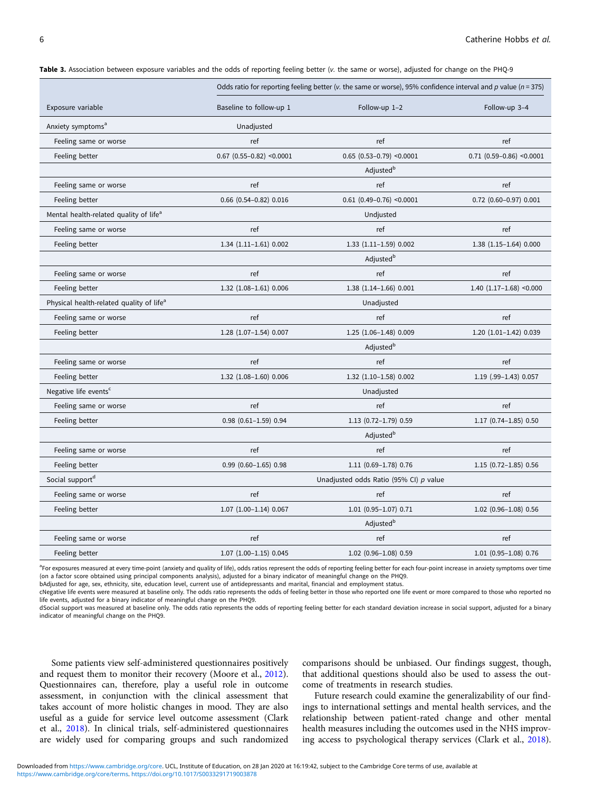<span id="page-5-0"></span>Table 3. Association between exposure variables and the odds of reporting feeling better (v. the same or worse), adjusted for change on the PHO-9

|                                                      | Odds ratio for reporting feeling better (v. the same or worse), 95% confidence interval and p value ( $n = 375$ ) |                                                |                             |
|------------------------------------------------------|-------------------------------------------------------------------------------------------------------------------|------------------------------------------------|-----------------------------|
| Exposure variable                                    | Baseline to follow-up 1                                                                                           | Follow-up 1-2                                  | Follow-up 3-4               |
| Anxiety symptoms <sup>a</sup>                        | Unadjusted                                                                                                        |                                                |                             |
| Feeling same or worse                                | ref                                                                                                               | ref                                            | ref                         |
| Feeling better                                       | $0.67$ (0.55-0.82) <0.0001                                                                                        | $0.65$ (0.53-0.79) <0.0001                     | $0.71$ (0.59-0.86) <0.0001  |
|                                                      |                                                                                                                   | Adjusted <sup>b</sup>                          |                             |
| Feeling same or worse                                | ref                                                                                                               | ref                                            | ref                         |
| Feeling better                                       | $0.66$ $(0.54 - 0.82)$ $0.016$                                                                                    | $0.61$ (0.49-0.76) <0.0001                     | $0.72$ (0.60-0.97) $0.001$  |
| Mental health-related quality of life <sup>a</sup>   |                                                                                                                   | Undjusted                                      |                             |
| Feeling same or worse                                | ref                                                                                                               | ref                                            | ref                         |
| Feeling better                                       | $1.34$ $(1.11-1.61)$ 0.002                                                                                        | 1.33 (1.11-1.59) 0.002                         | 1.38 (1.15-1.64) 0.000      |
|                                                      |                                                                                                                   | Adjusted <sup>b</sup>                          |                             |
| Feeling same or worse                                | ref                                                                                                               | ref                                            | ref                         |
| Feeling better                                       | 1.32 (1.08-1.61) 0.006                                                                                            | 1.38 (1.14-1.66) 0.001                         | $1.40$ $(1.17-1.68)$ <0.000 |
| Physical health-related quality of life <sup>a</sup> |                                                                                                                   | Unadjusted                                     |                             |
| Feeling same or worse                                | ref                                                                                                               | ref                                            | ref                         |
| Feeling better                                       | $1.28$ $(1.07-1.54)$ 0.007                                                                                        | 1.25 (1.06-1.48) 0.009                         | 1.20 (1.01-1.42) 0.039      |
|                                                      |                                                                                                                   | Adjusted <sup>b</sup>                          |                             |
| Feeling same or worse                                | ref                                                                                                               | ref                                            | ref                         |
| Feeling better                                       | 1.32 (1.08-1.60) 0.006                                                                                            | 1.32 (1.10-1.58) 0.002                         | 1.19 (.99-1.43) 0.057       |
| Negative life events <sup>c</sup>                    |                                                                                                                   | Unadjusted                                     |                             |
| Feeling same or worse                                | ref                                                                                                               | ref                                            | ref                         |
| Feeling better                                       | $0.98$ $(0.61 - 1.59)$ $0.94$                                                                                     | 1.13 (0.72-1.79) 0.59<br>1.17 (0.74-1.85) 0.50 |                             |
|                                                      |                                                                                                                   | Adjusted <sup>b</sup>                          |                             |
| Feeling same or worse                                | ref                                                                                                               | ref                                            | ref                         |
| Feeling better                                       | $0.99$ $(0.60-1.65)$ 0.98                                                                                         | 1.11 (0.69-1.78) 0.76                          | 1.15 (0.72-1.85) 0.56       |
| Social support <sup>d</sup>                          | Unadjusted odds Ratio (95% CI) p value                                                                            |                                                |                             |
| Feeling same or worse                                | ref                                                                                                               | ref                                            | ref                         |
| Feeling better                                       | $1.07$ $(1.00-1.14)$ 0.067                                                                                        | 1.01 (0.95-1.07) 0.71                          | 1.02 (0.96-1.08) 0.56       |
|                                                      | Adjusted <sup>b</sup>                                                                                             |                                                |                             |
| Feeling same or worse                                | ref                                                                                                               | ref                                            | ref                         |
| Feeling better                                       | $1.07$ $(1.00-1.15)$ 0.045                                                                                        | 1.02 (0.96-1.08) 0.59                          | 1.01 (0.95-1.08) 0.76       |

<sup>a</sup>For exposures measured at every time-point (anxiety and quality of life), odds ratios represent the odds of reporting feeling better for each four-point increase in anxiety symptoms over time (on a factor score obtained using principal components analysis), adjusted for a binary indicator of meaningful change on the PHQ9.

bAdjusted for age, sex, ethnicity, site, education level, current use of antidepressants and marital, financial and employment status.

cNegative life events were measured at baseline only. The odds ratio represents the odds of feeling better in those who reported one life event or more compared to those who reported no life events, adjusted for a binary indicator of meaningful change on the PHQ9.

dSocial support was measured at baseline only. The odds ratio represents the odds of reporting feeling better for each standard deviation increase in social support, adjusted for a binary indicator of meaningful change on the PHQ9.

Some patients view self-administered questionnaires positively and request them to monitor their recovery (Moore et al., [2012\)](#page-7-0). Questionnaires can, therefore, play a useful role in outcome assessment, in conjunction with the clinical assessment that takes account of more holistic changes in mood. They are also useful as a guide for service level outcome assessment (Clark et al., [2018\)](#page-7-0). In clinical trials, self-administered questionnaires are widely used for comparing groups and such randomized comparisons should be unbiased. Our findings suggest, though, that additional questions should also be used to assess the outcome of treatments in research studies.

Future research could examine the generalizability of our findings to international settings and mental health services, and the relationship between patient-rated change and other mental health measures including the outcomes used in the NHS improving access to psychological therapy services (Clark et al., [2018](#page-7-0)).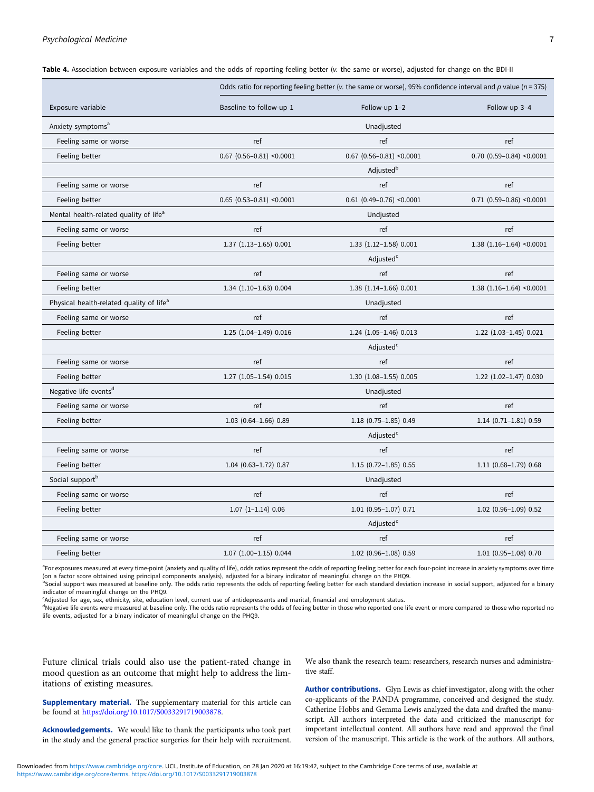# <span id="page-6-0"></span>Psychological Medicine 7

| Table 4. Association between exposure variables and the odds of reporting feeling better (v. the same or worse), adjusted for change on the BDI-I |  |  |
|---------------------------------------------------------------------------------------------------------------------------------------------------|--|--|
|                                                                                                                                                   |  |  |

|                                                      | Odds ratio for reporting feeling better (v. the same or worse), 95% confidence interval and p value ( $n = 375$ ) |                                                  |                             |
|------------------------------------------------------|-------------------------------------------------------------------------------------------------------------------|--------------------------------------------------|-----------------------------|
| Exposure variable                                    | Baseline to follow-up 1                                                                                           | Follow-up 1-2                                    | Follow-up 3-4               |
| Anxiety symptoms <sup>a</sup>                        |                                                                                                                   | Unadjusted                                       |                             |
| Feeling same or worse                                | ref                                                                                                               | ref                                              | ref                         |
| Feeling better                                       | $0.67$ (0.56-0.81) <0.0001                                                                                        | $0.67$ (0.56-0.81) <0.0001                       | $0.70$ (0.59-0.84) <0.0001  |
|                                                      |                                                                                                                   | Adjusted <sup>b</sup>                            |                             |
| Feeling same or worse                                | ref                                                                                                               | ref                                              | ref                         |
| Feeling better                                       | $0.65$ $(0.53 - 0.81)$ <0.0001                                                                                    | $0.61$ (0.49-0.76) <0.0001                       | $0.71$ (0.59-0.86) <0.0001  |
| Mental health-related quality of life <sup>a</sup>   |                                                                                                                   | Undjusted                                        |                             |
| Feeling same or worse                                | ref                                                                                                               | ref                                              | ref                         |
| Feeling better                                       | 1.37 (1.13-1.65) 0.001                                                                                            | 1.33 (1.12-1.58) 0.001                           | $1.38$ (1.16-1.64) < 0.0001 |
|                                                      |                                                                                                                   | Adjusted <sup>c</sup>                            |                             |
| Feeling same or worse                                | ref                                                                                                               | ref                                              | ref                         |
| Feeling better                                       | 1.34 (1.10-1.63) 0.004                                                                                            | 1.38 (1.14-1.66) 0.001                           | $1.38$ (1.16-1.64) < 0.0001 |
| Physical health-related quality of life <sup>a</sup> |                                                                                                                   | Unadjusted                                       |                             |
| Feeling same or worse                                | ref                                                                                                               | ref                                              | ref                         |
| Feeling better                                       | 1.25 (1.04-1.49) 0.016                                                                                            | 1.24 (1.05-1.46) 0.013                           | 1.22 (1.03-1.45) 0.021      |
|                                                      |                                                                                                                   | Adjusted <sup>c</sup>                            |                             |
| Feeling same or worse                                | ref                                                                                                               | ref                                              | ref                         |
| Feeling better                                       | 1.27 (1.05-1.54) 0.015                                                                                            | 1.30 (1.08-1.55) 0.005                           | 1.22 (1.02-1.47) 0.030      |
| Negative life events <sup>d</sup>                    |                                                                                                                   | Unadjusted                                       |                             |
| Feeling same or worse                                | ref                                                                                                               | ref                                              | ref                         |
| Feeling better                                       | $1.03$ $(0.64 - 1.66)$ 0.89                                                                                       | 1.18 (0.75-1.85) 0.49<br>$1.14$ (0.71-1.81) 0.59 |                             |
|                                                      |                                                                                                                   | Adjusted <sup>c</sup>                            |                             |
| Feeling same or worse                                | ref                                                                                                               | ref                                              | ref                         |
| Feeling better                                       | 1.04 (0.63-1.72) 0.87                                                                                             | 1.15 (0.72-1.85) 0.55                            | 1.11 (0.68-1.79) 0.68       |
| Social support <sup>b</sup>                          |                                                                                                                   | Unadjusted                                       |                             |
| Feeling same or worse                                | ref                                                                                                               | ref                                              | ref                         |
| Feeling better                                       | $1.07$ $(1-1.14)$ 0.06                                                                                            | $1.01$ (0.95-1.07) 0.71                          | 1.02 (0.96-1.09) 0.52       |
|                                                      | Adjusted <sup>c</sup>                                                                                             |                                                  |                             |
| Feeling same or worse                                | ref                                                                                                               | ref                                              | ref                         |
| Feeling better                                       | $1.07$ $(1.00-1.15)$ 0.044                                                                                        | 1.02 (0.96-1.08) 0.59                            | 1.01 (0.95-1.08) 0.70       |

<sup>a</sup>For exposures measured at every time-point (anxiety and quality of life), odds ratios represent the odds of reporting feeling better for each four-point increase in anxiety symptoms over time (on a factor score obtained using principal components analysis), adjusted for a binary indicator of meaningful change on the PHQ9.

**b**Social support was measured at baseline only. The odds ratio represents the odds of reporting feeling better for each standard deviation increase in social support, adjusted for a binary indicator of meaningful change on the PHQ9.

c Adjusted for age, sex, ethnicity, site, education level, current use of antidepressants and marital, financial and employment status.

<sup>d</sup>Negative life events were measured at baseline only. The odds ratio represents the odds of feeling better in those who reported one life event or more compared to those who reported no life events, adjusted for a binary indicator of meaningful change on the PHQ9.

Future clinical trials could also use the patient-rated change in mood question as an outcome that might help to address the limitations of existing measures.

We also thank the research team: researchers, research nurses and administrative staff.

Supplementary material. The supplementary material for this article can be found at [https://doi.org/10.1017/S0033291719003878.](https://doi.org/10.1017/S0033291719003878)

Acknowledgements. We would like to thank the participants who took part in the study and the general practice surgeries for their help with recruitment. Author contributions. Glyn Lewis as chief investigator, along with the other co-applicants of the PANDA programme, conceived and designed the study. Catherine Hobbs and Gemma Lewis analyzed the data and drafted the manuscript. All authors interpreted the data and criticized the manuscript for important intellectual content. All authors have read and approved the final version of the manuscript. This article is the work of the authors. All authors,